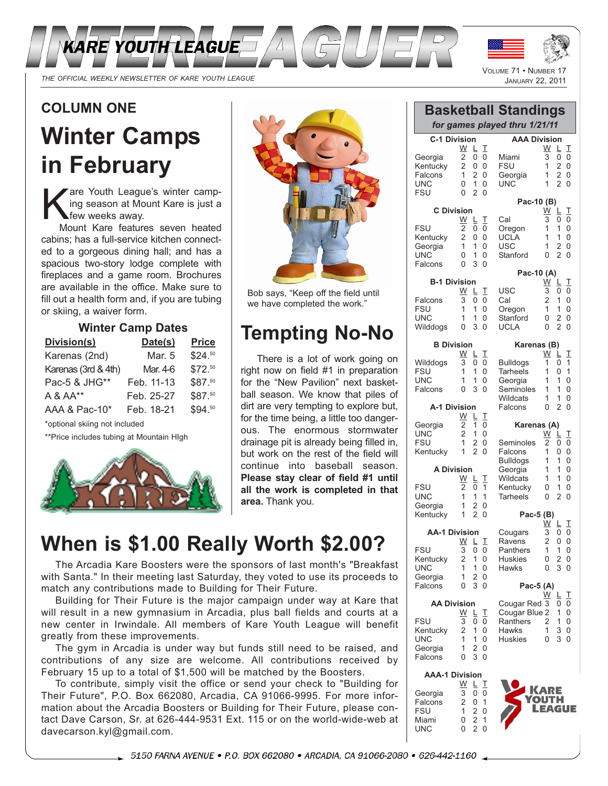

THE OFFICIAL WEEKLY NEWSLETTER OF KARE YOUTH LEAGUE

## **COLUMN ONE**

# **Winter Camps in February**

The Youth League's winter camp-<br>
Sing season at Mount Kare is just a<br>
Mount Kare features seven beated ing season at Mount Kare is just a few weeks away.

Mount Kare features seven heated cabins; has a full-service kitchen connected to a gorgeous dining hall; and has a spacious two-story lodge complete with fireplaces and a game room. Brochures are available in the office. Make sure to fill out a health form and, if you are tubing or skiing, a waiver form.

### **Winter Camp Dates**

| Division(s)         | Date(s)    | <b>Price</b> |
|---------------------|------------|--------------|
| Karenas (2nd)       | Mar. 5     | \$24.50      |
| Karenas (3rd & 4th) | Mar. 4-6   | \$72.50      |
| Pac-5 & JHG**       | Feb. 11-13 | \$87.50      |
| A & AA**            | Feb. 25-27 | \$87.50      |
| AAA & Pac-10*       | Feb. 18-21 | \$94.50      |
|                     |            |              |

\*optional skiing not included

\*\*Price includes tubing at Mountain HIgh





Bob says, "Keep off the field until we have completed the work."

## **Tempting No-No**

There is a lot of work going on right now on field #1 in preparation for the "New Pavilion" next basketball season. We know that piles of dirt are very tempting to explore but, for the time being, a little too dangerous. The enormous stormwater drainage pit is already being filled in, but work on the rest of the field will continue into baseball season. **Please stay clear of field #1 until all the work is completed in that area.** Thank you.

## **When is \$1.00 Really Worth \$2.00?**

The Arcadia Kare Boosters were the sponsors of last month's "Breakfast with Santa." In their meeting last Saturday, they voted to use its proceeds to match any contributions made to Building for Their Future.

Building for Their Future is the major campaign under way at Kare that will result in a new gymnasium in Arcadia, plus ball fields and courts at a new center in Irwindale. All members of Kare Youth League will benefit greatly from these improvements.

The gym in Arcadia is under way but funds still need to be raised, and contributions of any size are welcome. All contributions received by February 15 up to a total of \$1,500 will be matched by the Boosters.

To contribute, simply visit the office or send your check to "Building for Their Future", P.O. Box 662080, Arcadia, CA 91066-9995. For more information about the Arcadia Boosters or Building for Their Future, please contact Dave Carson, Sr. at 626-444-9531 Ext. 115 or on the world-wide-web at davecarson.kyl@gmail.com.

|                                                             |                                                |                                                      |                            | <b>JANUARY 22, 2011</b>                                                |                                               |                                                              |                            |
|-------------------------------------------------------------|------------------------------------------------|------------------------------------------------------|----------------------------|------------------------------------------------------------------------|-----------------------------------------------|--------------------------------------------------------------|----------------------------|
|                                                             |                                                |                                                      |                            | <b>Basketball Standings</b><br>for games played thru 1/21/11           |                                               |                                                              |                            |
| <b>C-1 Division</b>                                         |                                                |                                                      |                            | <b>AAA Division</b>                                                    |                                               |                                                              |                            |
| Georgia<br>Kentucky<br>Falcons<br>UNC<br>FSU                | W<br>2<br>2<br>1<br>0<br>0                     | L<br>0<br>0<br>$\overline{2}$<br>1<br>$\overline{2}$ | I<br>0<br>0<br>0<br>0<br>0 | Miami<br><b>FSU</b><br>Georgia<br><b>UNC</b>                           | W<br>3<br>1<br>1<br>1                         | L<br>0<br>$\overline{2}$<br>$\overline{2}$<br>$\overline{2}$ | I<br>0<br>0<br>0<br>0      |
| <b>C</b> Division                                           |                                                |                                                      |                            | Pac-10 (B)                                                             | <u>W</u>                                      | L                                                            | Т                          |
| FSU<br>Kentucky<br>Georgia<br><b>UNC</b><br>Falcons         | <u>W</u><br>2<br>2<br>$\mathbf{1}$<br>0<br>0   | ╚<br>0<br>0<br>1<br>1<br>3                           | I<br>0<br>0<br>0<br>0<br>0 | Cal<br>Oregon<br>UCLA<br>USC<br>Stanford                               | 3<br>1<br>1<br>1<br>0                         | 0<br>1<br>1<br>2<br>$\overline{2}$                           | 0<br>0<br>0<br>0<br>0      |
| <b>B-1 Division</b>                                         |                                                |                                                      |                            | Pac-10 (A)                                                             | <u>W</u>                                      | L                                                            | I                          |
| Falcons<br>FSU<br>UNC<br>Wilddogs                           | W<br>3<br>1<br>1<br>$\Omega$                   | L<br>0<br>1<br>1<br>3                                | I<br>0<br>0<br>0<br>0      | USC<br>Cal<br>Oregon<br>Stanford<br>UCLA                               | 3<br>$\overline{2}$<br>$\mathbf{1}$<br>0<br>0 | 0<br>1<br>1<br>2<br>$\overline{2}$                           | 0<br>0<br>0<br>0<br>0      |
| <b>B</b> Division                                           |                                                |                                                      |                            | Karenas (B)                                                            |                                               |                                                              |                            |
| Wilddogs<br>FSU<br>UNC<br>Falcons                           | W<br>3<br>1<br>1<br>0                          | L<br>0<br>1<br>1<br>3                                | I<br>0<br>0<br>0<br>0      | <b>Bulldogs</b><br><b>Tarheels</b><br>Georgia<br>Seminoles<br>Wildcats | W<br>1<br>1<br>$\mathbf{1}$<br>1<br>1         | L<br>0<br>0<br>1<br>1<br>1                                   | Т<br>1<br>1<br>0<br>0<br>0 |
| <b>A-1 Division</b>                                         |                                                |                                                      |                            | Falcons                                                                | 0                                             | $\overline{2}$                                               | 0                          |
| Georgia                                                     | <u>W</u><br>2                                  | L<br>1                                               | I<br>0                     | Karenas (A)                                                            |                                               |                                                              |                            |
| UNC<br>FSU<br>Kentucky                                      | $\overline{2}$<br>1<br>1                       | 1<br>$\overline{2}$<br>$\overline{2}$                | 0<br>0<br>0                | Seminoles<br>Falcons<br><b>Bulldogs</b>                                | <u>W</u><br>2<br>1<br>1                       | L<br>0<br>0<br>1                                             | I<br>0<br>0<br>0           |
| <b>A Division</b>                                           |                                                |                                                      |                            | Georgia                                                                | 1                                             | 1                                                            | 0                          |
| FSU<br>UNC<br>Georgia                                       | W<br>$\overline{2}$<br>1<br>1                  | L<br>0<br>1<br>$\overline{2}$                        | Τ<br>1<br>1<br>0           | Wildcats<br>Kentucky<br>Tarheels                                       | 1<br>0<br>0                                   | 1<br>1<br>$\overline{2}$                                     | 0<br>0<br>0                |
| Kentucky                                                    | 1                                              | $\overline{2}$                                       | 0                          | Pac-5 (B)                                                              | <u>W</u>                                      | ╚                                                            | I                          |
| <b>AA-1 Division</b>                                        |                                                |                                                      |                            | Cougars                                                                | 3<br>2                                        | 0<br>0                                                       | 0<br>0                     |
| <b>FSU</b><br>Kentucky<br>UNC<br>Georgia                    | <u>W</u><br>3<br>$\overline{2}$<br>1<br>1      | Ļ<br>0<br>1<br>1<br>2                                | I<br>0<br>0<br>0<br>0      | Ravens<br>Panthers<br>Huskies<br>Hawks                                 | 1<br>0<br>0                                   | 1<br>2<br>3                                                  | 0<br>0<br>0                |
| Falcons                                                     | 0                                              | 3                                                    | 0                          | Pac-5 (A)                                                              | W                                             | ╚                                                            | I                          |
| AA Division<br>FSU<br>Kentucky<br>UNC<br>Georgia<br>Falcons | <u>W</u><br>3<br>$\overline{2}$<br>1<br>1<br>0 | L<br>0<br>1<br>1<br>2<br>3                           | I<br>0<br>0<br>0<br>0<br>0 | Cougar Red<br>Cougar Blue 2<br>Ranthers<br>Hawks<br>Huskies            | 3<br>2<br>1<br>0                              | 0<br>1<br>1<br>3<br>3                                        | 0<br>0<br>0<br>0<br>0      |
| <b>AAA-1 Division</b>                                       |                                                |                                                      |                            |                                                                        |                                               |                                                              |                            |
| Georgia<br>Falcons<br><b>FSU</b>                            | <u>W</u><br>3<br>2<br>$\mathbf{1}$             | L.<br>0<br>0<br>$\mathfrak{D}$                       | I<br>0<br>1<br>$\Omega$    |                                                                        | KARE                                          |                                                              | EAGUE                      |

VOLUME 71 • NUMBER 1



 $\begin{array}{cc} 1 & 2 & 0 \\ 0 & 2 & 1 \end{array}$ 

Miami 0 2 1<br>UNC 0 2 0

UNC